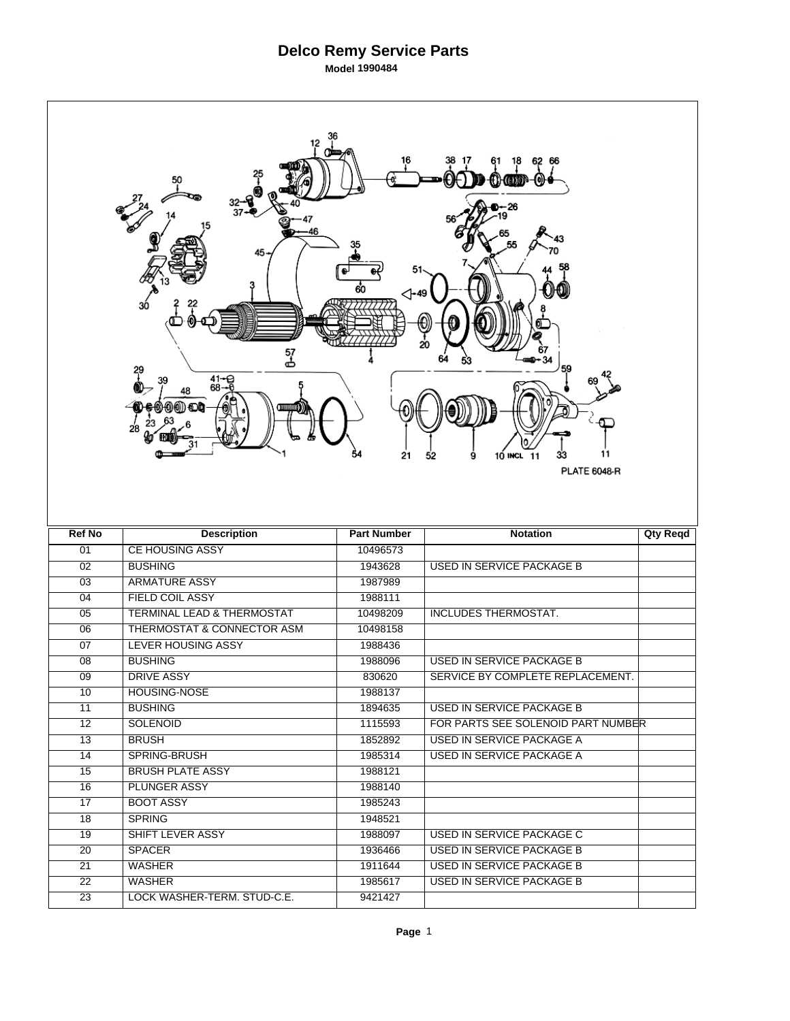| 12<br>16<br>45<br>⊲-49<br>ЗÓ<br>20<br>57<br>ക<br>59<br>29<br>$41 - 96 - 68$<br>48<br>(1) (1) (1) (1)<br>28<br>54<br>21<br>11<br>10 INCL 11<br>33<br>52<br>9<br><b>PLATE 6048-R</b> |                                       |                    |                                    |                 |  |  |  |  |
|------------------------------------------------------------------------------------------------------------------------------------------------------------------------------------|---------------------------------------|--------------------|------------------------------------|-----------------|--|--|--|--|
|                                                                                                                                                                                    |                                       |                    |                                    |                 |  |  |  |  |
| <b>Ref No</b>                                                                                                                                                                      | <b>Description</b>                    | <b>Part Number</b> | <b>Notation</b>                    | <b>Qty Reqd</b> |  |  |  |  |
| 01                                                                                                                                                                                 | <b>CE HOUSING ASSY</b>                | 10496573           |                                    |                 |  |  |  |  |
| $\overline{02}$                                                                                                                                                                    | <b>BUSHING</b>                        | 1943628            | <b>USED IN SERVICE PACKAGE B</b>   |                 |  |  |  |  |
| $\overline{03}$                                                                                                                                                                    | <b>ARMATURE ASSY</b>                  | 1987989            |                                    |                 |  |  |  |  |
| 04                                                                                                                                                                                 | <b>FIELD COIL ASSY</b>                | 1988111            |                                    |                 |  |  |  |  |
| 05                                                                                                                                                                                 | <b>TERMINAL LEAD &amp; THERMOSTAT</b> | 10498209           | <b>INCLUDES THERMOSTAT.</b>        |                 |  |  |  |  |
| $\overline{06}$                                                                                                                                                                    | <b>THERMOSTAT &amp; CONNECTOR ASM</b> | 10498158           |                                    |                 |  |  |  |  |
| 07                                                                                                                                                                                 | <b>LEVER HOUSING ASSY</b>             | 1988436            |                                    |                 |  |  |  |  |
| 08                                                                                                                                                                                 | <b>BUSHING</b>                        | 1988096            | USED IN SERVICE PACKAGE B          |                 |  |  |  |  |
| $\overline{09}$                                                                                                                                                                    | <b>DRIVE ASSY</b>                     | 830620             | SERVICE BY COMPLETE REPLACEMENT.   |                 |  |  |  |  |
| 10                                                                                                                                                                                 | HOUSING-NOSE                          | 1988137            |                                    |                 |  |  |  |  |
| 11                                                                                                                                                                                 | <b>BUSHING</b>                        | 1894635            | USED IN SERVICE PACKAGE B          |                 |  |  |  |  |
| $\overline{12}$                                                                                                                                                                    | <b>SOLENOID</b>                       | 1115593            | FOR PARTS SEE SOLENOID PART NUMBER |                 |  |  |  |  |
| 13                                                                                                                                                                                 | <b>BRUSH</b>                          | 1852892            | USED IN SERVICE PACKAGE A          |                 |  |  |  |  |
| 14                                                                                                                                                                                 | SPRING-BRUSH                          | 1985314            | <b>USED IN SERVICE PACKAGE A</b>   |                 |  |  |  |  |
| 15                                                                                                                                                                                 | <b>BRUSH PLATE ASSY</b>               | 1988121            |                                    |                 |  |  |  |  |
| 16                                                                                                                                                                                 | <b>PLUNGER ASSY</b>                   | 1988140            |                                    |                 |  |  |  |  |
| $\overline{17}$                                                                                                                                                                    | <b>BOOT ASSY</b>                      | 1985243            |                                    |                 |  |  |  |  |
| 18                                                                                                                                                                                 | <b>SPRING</b>                         | 1948521            |                                    |                 |  |  |  |  |
| 19                                                                                                                                                                                 | SHIFT LEVER ASSY                      | 1988097            | USED IN SERVICE PACKAGE C          |                 |  |  |  |  |
| $\overline{20}$                                                                                                                                                                    | <b>SPACER</b>                         | 1936466            | <b>USED IN SERVICE PACKAGE B</b>   |                 |  |  |  |  |
| 21                                                                                                                                                                                 | <b>WASHER</b>                         | 1911644            | USED IN SERVICE PACKAGE B          |                 |  |  |  |  |
| 22                                                                                                                                                                                 | WASHER                                | 1985617            | USED IN SERVICE PACKAGE B          |                 |  |  |  |  |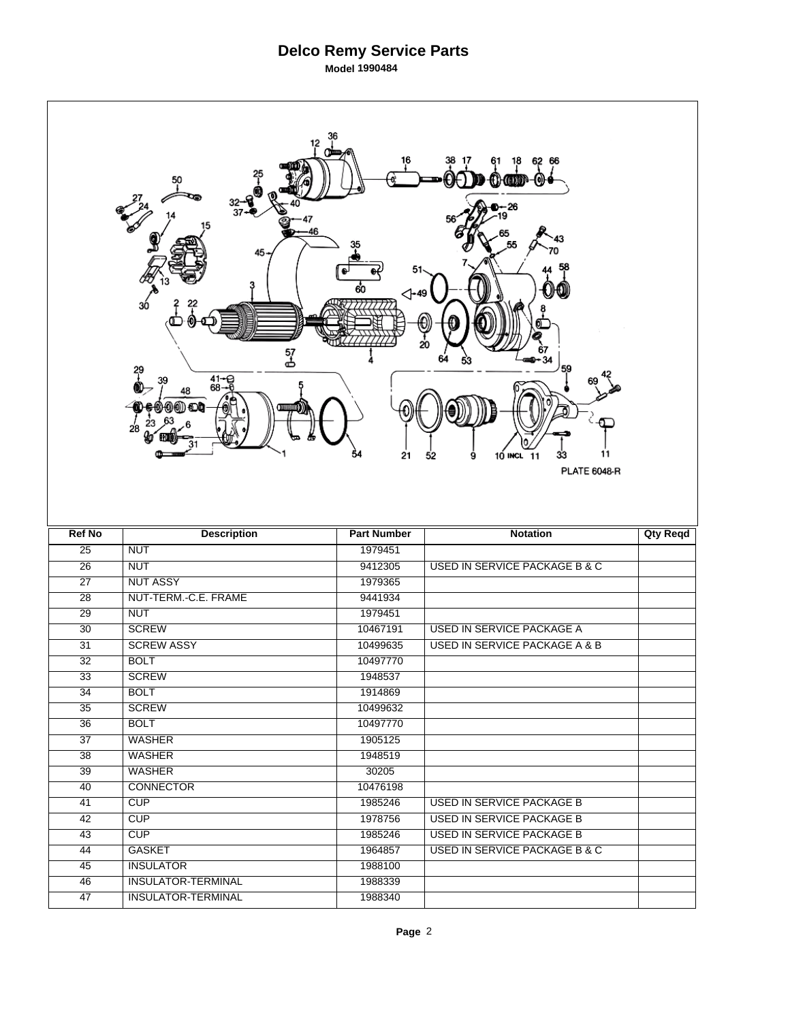| 12<br>18<br>62 66<br>⊦መመ™-⊚⊩<br>50<br>-26<br>37<br>46<br>45.<br>51<br>60<br>⊲-49<br>3ó<br>20<br>57<br>ക<br>34<br>59<br>?<br>$41 - C$<br>$68 - C$<br>39<br>48<br>(1) (1) (D)<br>28<br>54<br>11<br>21<br>10 INCL 11<br>33<br>52<br>9<br><b>PLATE 6048-R</b> |                                                        |                    |                                          |                 |  |  |  |
|-----------------------------------------------------------------------------------------------------------------------------------------------------------------------------------------------------------------------------------------------------------|--------------------------------------------------------|--------------------|------------------------------------------|-----------------|--|--|--|
| <b>Ref No</b>                                                                                                                                                                                                                                             | <b>Description</b>                                     | <b>Part Number</b> | <b>Notation</b>                          | <b>Qty Reqd</b> |  |  |  |
| $\overline{25}$                                                                                                                                                                                                                                           | <b>NUT</b>                                             | 1979451            |                                          |                 |  |  |  |
| $\overline{26}$                                                                                                                                                                                                                                           | <b>NUT</b>                                             | 9412305            | USED IN SERVICE PACKAGE B & C            |                 |  |  |  |
| $\overline{27}$                                                                                                                                                                                                                                           | <b>NUT ASSY</b>                                        | 1979365            |                                          |                 |  |  |  |
| $\overline{28}$                                                                                                                                                                                                                                           | NUT-TERM.-C.E. FRAME                                   | 9441934            |                                          |                 |  |  |  |
| 29                                                                                                                                                                                                                                                        | <b>NUT</b>                                             | 1979451            |                                          |                 |  |  |  |
| $\overline{30}$                                                                                                                                                                                                                                           | <b>SCREW</b>                                           | 10467191           | <b>USED IN SERVICE PACKAGE A</b>         |                 |  |  |  |
| $\overline{31}$                                                                                                                                                                                                                                           | <b>SCREW ASSY</b>                                      | 10499635           | <b>USED IN SERVICE PACKAGE A &amp; B</b> |                 |  |  |  |
| 32                                                                                                                                                                                                                                                        | <b>BOLT</b>                                            | 10497770           |                                          |                 |  |  |  |
| $\overline{33}$                                                                                                                                                                                                                                           | <b>SCREW</b>                                           | 1948537            |                                          |                 |  |  |  |
| $\overline{34}$                                                                                                                                                                                                                                           | <b>BOLT</b>                                            | 1914869            |                                          |                 |  |  |  |
| 35                                                                                                                                                                                                                                                        |                                                        |                    |                                          |                 |  |  |  |
| $\overline{36}$                                                                                                                                                                                                                                           | <b>SCREW</b>                                           | 10499632           |                                          |                 |  |  |  |
| $\overline{37}$                                                                                                                                                                                                                                           | <b>BOLT</b>                                            | 10497770           |                                          |                 |  |  |  |
| $\overline{38}$                                                                                                                                                                                                                                           | <b>WASHER</b>                                          | 1905125            |                                          |                 |  |  |  |
|                                                                                                                                                                                                                                                           | <b>WASHER</b>                                          | 1948519            |                                          |                 |  |  |  |
| 39                                                                                                                                                                                                                                                        | <b>WASHER</b>                                          | 30205              |                                          |                 |  |  |  |
| 40                                                                                                                                                                                                                                                        | <b>CONNECTOR</b>                                       | 10476198           |                                          |                 |  |  |  |
| 41                                                                                                                                                                                                                                                        | CUP                                                    | 1985246            | USED IN SERVICE PACKAGE B                |                 |  |  |  |
| 42                                                                                                                                                                                                                                                        | CUP                                                    | 1978756            | USED IN SERVICE PACKAGE B                |                 |  |  |  |
| 43                                                                                                                                                                                                                                                        | <b>CUP</b>                                             | 1985246            | USED IN SERVICE PACKAGE B                |                 |  |  |  |
| 44                                                                                                                                                                                                                                                        | <b>GASKET</b>                                          | 1964857            | <b>USED IN SERVICE PACKAGE B &amp; C</b> |                 |  |  |  |
| 45                                                                                                                                                                                                                                                        | <b>INSULATOR</b>                                       | 1988100            |                                          |                 |  |  |  |
| 46<br>47                                                                                                                                                                                                                                                  | <b>INSULATOR-TERMINAL</b><br><b>INSULATOR-TERMINAL</b> | 1988339<br>1988340 |                                          |                 |  |  |  |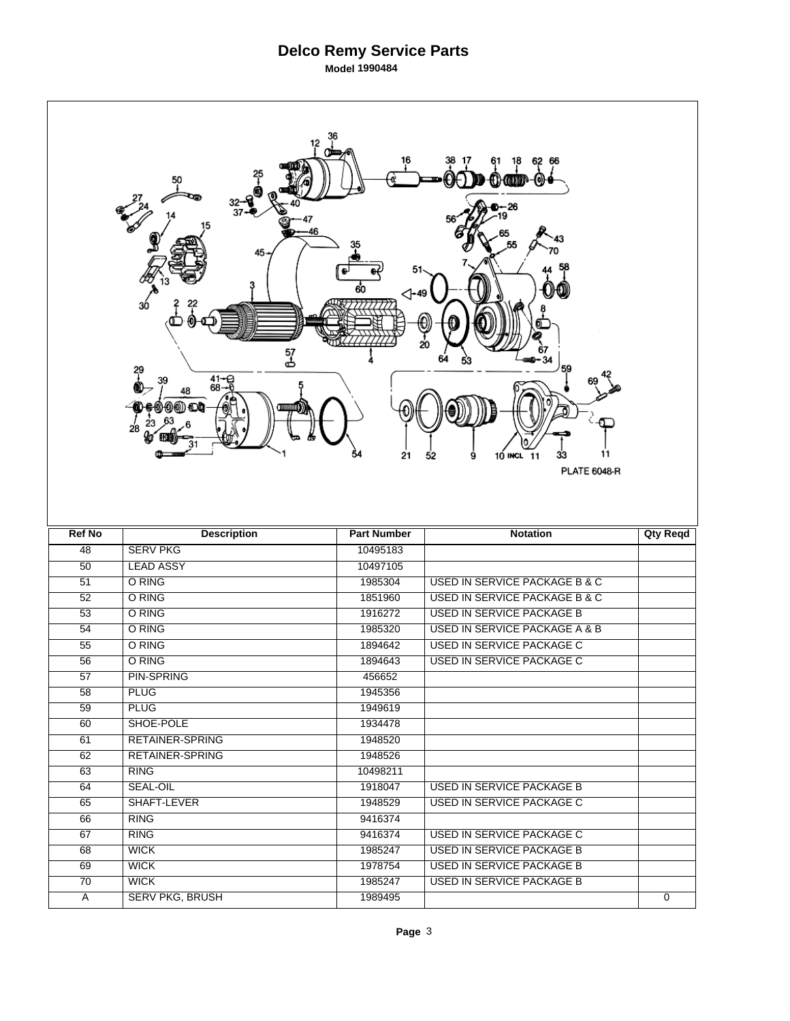| 12<br>62 66<br>Օ առ - Օ<br>50<br>$-26$<br>-<br>37<br>46<br>45.<br>51<br>60<br>⊲-49<br>3ó<br>20<br>57<br>ക<br>34<br>59<br>?<br>$41 - C$<br>$68 - C$<br>39<br>48<br>000) OL<br>28<br>54<br>11<br>21<br>10 INCL 11<br>33<br>52<br>9<br><b>PLATE 6048-R</b> |                                       |                    |                                          |                 |  |  |  |
|---------------------------------------------------------------------------------------------------------------------------------------------------------------------------------------------------------------------------------------------------------|---------------------------------------|--------------------|------------------------------------------|-----------------|--|--|--|
| <b>Ref No</b>                                                                                                                                                                                                                                           | <b>Description</b>                    | <b>Part Number</b> | <b>Notation</b>                          | <b>Qty Reqd</b> |  |  |  |
| 48                                                                                                                                                                                                                                                      | <b>SERV PKG</b>                       | 10495183           |                                          |                 |  |  |  |
| 50                                                                                                                                                                                                                                                      | <b>LEAD ASSY</b>                      | 10497105           |                                          |                 |  |  |  |
| 51                                                                                                                                                                                                                                                      | O RING                                | 1985304            | <b>USED IN SERVICE PACKAGE B &amp; C</b> |                 |  |  |  |
| $\overline{52}$                                                                                                                                                                                                                                         | O RING                                | 1851960            | USED IN SERVICE PACKAGE B & C            |                 |  |  |  |
| 53                                                                                                                                                                                                                                                      | O RING                                | 1916272            | <b>USED IN SERVICE PACKAGE B</b>         |                 |  |  |  |
| $\overline{54}$                                                                                                                                                                                                                                         | O RING                                | 1985320            | <b>USED IN SERVICE PACKAGE A &amp; B</b> |                 |  |  |  |
| $\overline{55}$                                                                                                                                                                                                                                         | O RING                                | 1894642            | <b>USED IN SERVICE PACKAGE C</b>         |                 |  |  |  |
| 56                                                                                                                                                                                                                                                      | O RING                                | 1894643            | USED IN SERVICE PACKAGE C                |                 |  |  |  |
| $\overline{57}$                                                                                                                                                                                                                                         | <b>PIN-SPRING</b>                     | 456652             |                                          |                 |  |  |  |
| 58                                                                                                                                                                                                                                                      | <b>PLUG</b>                           | 1945356            |                                          |                 |  |  |  |
| 59                                                                                                                                                                                                                                                      | <b>PLUG</b>                           | 1949619            |                                          |                 |  |  |  |
| 60                                                                                                                                                                                                                                                      | SHOE-POLE                             | 1934478            |                                          |                 |  |  |  |
| 61                                                                                                                                                                                                                                                      |                                       |                    |                                          |                 |  |  |  |
| 62                                                                                                                                                                                                                                                      | <b>RETAINER-SPRING</b>                | 1948520            |                                          |                 |  |  |  |
| 63                                                                                                                                                                                                                                                      | <b>RETAINER-SPRING</b>                | 1948526            |                                          |                 |  |  |  |
|                                                                                                                                                                                                                                                         | <b>RING</b>                           | 10498211           |                                          |                 |  |  |  |
| 64                                                                                                                                                                                                                                                      | <b>SEAL-OIL</b>                       | 1918047            | USED IN SERVICE PACKAGE B                |                 |  |  |  |
| 65                                                                                                                                                                                                                                                      | SHAFT-LEVER                           | 1948529            | USED IN SERVICE PACKAGE C                |                 |  |  |  |
| 66                                                                                                                                                                                                                                                      | <b>RING</b>                           | 9416374            |                                          |                 |  |  |  |
| 67                                                                                                                                                                                                                                                      | RING                                  | 9416374            | USED IN SERVICE PACKAGE C                |                 |  |  |  |
| 68                                                                                                                                                                                                                                                      | <b>WICK</b>                           | 1985247            | <b>USED IN SERVICE PACKAGE B</b>         |                 |  |  |  |
| 69                                                                                                                                                                                                                                                      | <b>WICK</b>                           | 1978754            | <b>USED IN SERVICE PACKAGE B</b>         |                 |  |  |  |
| 70                                                                                                                                                                                                                                                      | <b>WICK</b><br><b>SERV PKG, BRUSH</b> | 1985247<br>1989495 | USED IN SERVICE PACKAGE B                |                 |  |  |  |